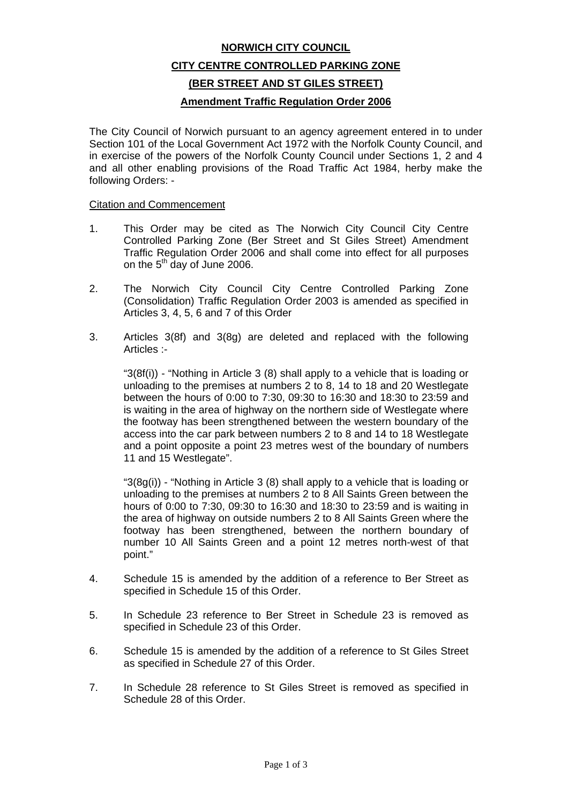# **NORWICH CITY COUNCIL CITY CENTRE CONTROLLED PARKING ZONE (BER STREET AND ST GILES STREET) Amendment Traffic Regulation Order 2006**

The City Council of Norwich pursuant to an agency agreement entered in to under Section 101 of the Local Government Act 1972 with the Norfolk County Council, and in exercise of the powers of the Norfolk County Council under Sections 1, 2 and 4 and all other enabling provisions of the Road Traffic Act 1984, herby make the following Orders: -

#### Citation and Commencement

- 1. This Order may be cited as The Norwich City Council City Centre Controlled Parking Zone (Ber Street and St Giles Street) Amendment Traffic Regulation Order 2006 and shall come into effect for all purposes on the 5<sup>th</sup> day of June 2006.
- 2. The Norwich City Council City Centre Controlled Parking Zone (Consolidation) Traffic Regulation Order 2003 is amended as specified in Articles 3, 4, 5, 6 and 7 of this Order
- 3. Articles 3(8f) and 3(8g) are deleted and replaced with the following Articles :-

"3(8f(i)) - "Nothing in Article 3 (8) shall apply to a vehicle that is loading or unloading to the premises at numbers 2 to 8, 14 to 18 and 20 Westlegate between the hours of 0:00 to 7:30, 09:30 to 16:30 and 18:30 to 23:59 and is waiting in the area of highway on the northern side of Westlegate where the footway has been strengthened between the western boundary of the access into the car park between numbers 2 to 8 and 14 to 18 Westlegate and a point opposite a point 23 metres west of the boundary of numbers 11 and 15 Westlegate".

"3(8g(i)) - "Nothing in Article 3 (8) shall apply to a vehicle that is loading or unloading to the premises at numbers 2 to 8 All Saints Green between the hours of 0:00 to 7:30, 09:30 to 16:30 and 18:30 to 23:59 and is waiting in the area of highway on outside numbers 2 to 8 All Saints Green where the footway has been strengthened, between the northern boundary of number 10 All Saints Green and a point 12 metres north-west of that point."

- 4. Schedule 15 is amended by the addition of a reference to Ber Street as specified in Schedule 15 of this Order.
- 5. In Schedule 23 reference to Ber Street in Schedule 23 is removed as specified in Schedule 23 of this Order.
- 6. Schedule 15 is amended by the addition of a reference to St Giles Street as specified in Schedule 27 of this Order.
- 7. In Schedule 28 reference to St Giles Street is removed as specified in Schedule 28 of this Order.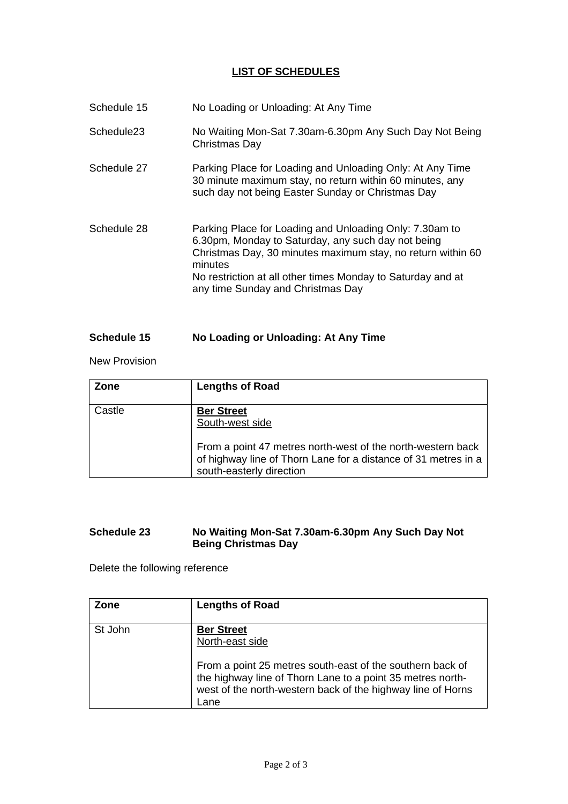## **LIST OF SCHEDULES**

| Schedule 15            | No Loading or Unloading: At Any Time                                                                                                                                                                                                                                                        |
|------------------------|---------------------------------------------------------------------------------------------------------------------------------------------------------------------------------------------------------------------------------------------------------------------------------------------|
| Schedule <sub>23</sub> | No Waiting Mon-Sat 7.30am-6.30pm Any Such Day Not Being<br>Christmas Day                                                                                                                                                                                                                    |
| Schedule 27            | Parking Place for Loading and Unloading Only: At Any Time<br>30 minute maximum stay, no return within 60 minutes, any<br>such day not being Easter Sunday or Christmas Day                                                                                                                  |
| Schedule 28            | Parking Place for Loading and Unloading Only: 7.30am to<br>6.30pm, Monday to Saturday, any such day not being<br>Christmas Day, 30 minutes maximum stay, no return within 60<br>minutes<br>No restriction at all other times Monday to Saturday and at<br>any time Sunday and Christmas Day |

# **Schedule 15 No Loading or Unloading: At Any Time**

New Provision

| Zone   | <b>Lengths of Road</b>                                                                                                                                                                            |
|--------|---------------------------------------------------------------------------------------------------------------------------------------------------------------------------------------------------|
| Castle | <b>Ber Street</b><br>South-west side<br>From a point 47 metres north-west of the north-western back<br>of highway line of Thorn Lane for a distance of 31 metres in a<br>south-easterly direction |

#### **Schedule 23 No Waiting Mon-Sat 7.30am-6.30pm Any Such Day Not Being Christmas Day**

Delete the following reference

| Zone    | <b>Lengths of Road</b>                                                                                                                                                                                                                 |
|---------|----------------------------------------------------------------------------------------------------------------------------------------------------------------------------------------------------------------------------------------|
| St John | <b>Ber Street</b><br>North-east side<br>From a point 25 metres south-east of the southern back of<br>the highway line of Thorn Lane to a point 35 metres north-<br>west of the north-western back of the highway line of Horns<br>Lane |